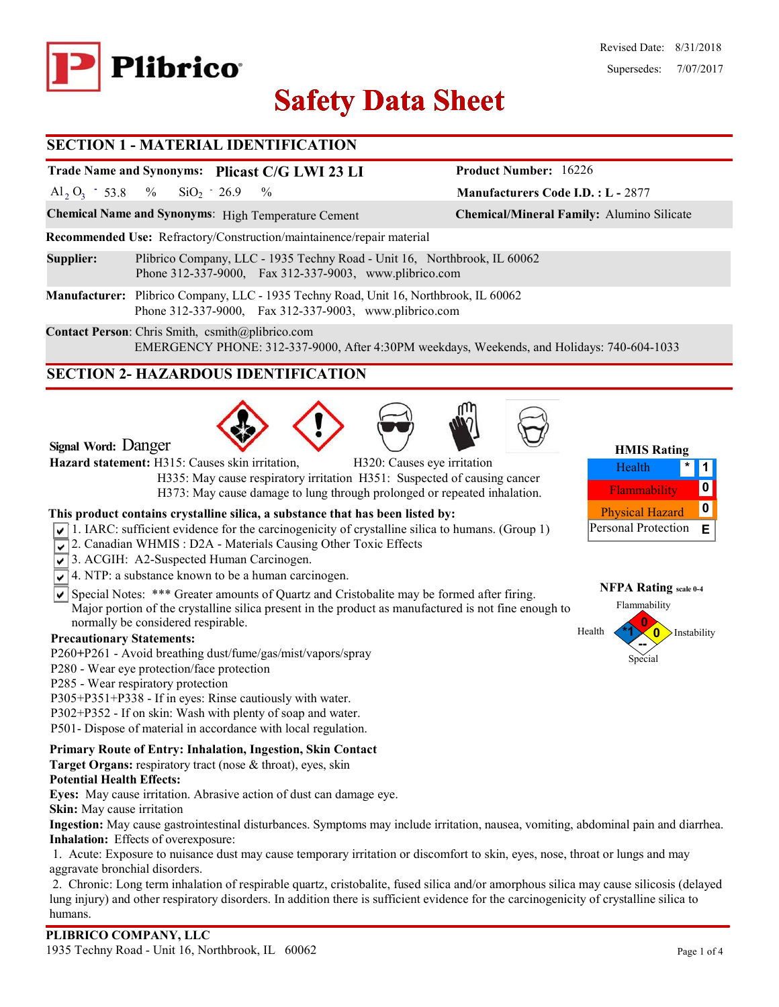

# **Safety Data Sheet Safety Data**

### **SECTION 1 - MATERIAL IDENTIFICATION**

# **Trade Name and Synonyms: Plicast C/G LWI 23 LI**

Al<sub>2</sub> O<sub>3</sub> - 53.8 % SiO<sub>2</sub> - 26.9 %  $SiO_2$  - 26.9

**Chemical Name and Synonyms**: High Temperature Cement **Chemical/Mineral Family:** Alumino Silicate

**Recommended Use:** Refractory/Construction/maintainence/repair material

- **Supplier:** Plibrico Company, LLC 1935 Techny Road Unit 16, Northbrook, IL 60062 Phone 312-337-9000, Fax 312-337-9003, www.plibrico.com
- **Manufacturer:** Plibrico Company, LLC 1935 Techny Road, Unit 16, Northbrook, IL 60062 Phone 312-337-9000, Fax 312-337-9003, www.plibrico.com

**Contact Person**: Chris Smith, csmith@plibrico.com EMERGENCY PHONE: 312-337-9000, After 4:30PM weekdays, Weekends, and Holidays: 740-604-1033

# **SECTION 2- HAZARDOUS IDENTIFICATION**







**Manufacturers Code I.D. : L -** 2877

**Product Number:** 16226

| 1117110 <b>1440</b>    |  |   |  |  |  |  |
|------------------------|--|---|--|--|--|--|
| Health                 |  |   |  |  |  |  |
| Flammability           |  |   |  |  |  |  |
| <b>Physical Hazard</b> |  |   |  |  |  |  |
| Personal Protection    |  | Е |  |  |  |  |

### **NFPA Rating scale 0-4 0** Flammability Instability

Special **--**

 $Health$ 

**Hazard statement:** H315: Causes skin irritation, H320: Causes eye irritation H335: May cause respiratory irritation H351: Suspected of causing cancer H373: May cause damage to lung through prolonged or repeated inhalation.

### **This product contains crystalline silica, a substance that has been listed by:**

- $\sqrt{1}$ . IARC: sufficient evidence for the carcinogenicity of crystalline silica to humans. (Group 1)
- 2. Canadian WHMIS: D2A Materials Causing Other Toxic Effects
- 3. ACGIH: A2-Suspected Human Carcinogen.
- $\sqrt{\sqrt{4}}$ . NTP: a substance known to be a human carcinogen.
- $\overline{\mathsf{S}}$  Special Notes: \*\*\* Greater amounts of Quartz and Cristobalite may be formed after firing. Major portion of the crystalline silica present in the product as manufactured is not fine enough to normally be considered respirable.

### **Precautionary Statements:**

**Signal Word:** Danger

- P260**+**P261 Avoid breathing dust/fume/gas/mist/vapors/spray
- P280 Wear eye protection/face protection
- P285 Wear respiratory protection
- P305+P351+P338 If in eyes: Rinse cautiously with water.
- P302+P352 If on skin: Wash with plenty of soap and water.
- P501- Dispose of material in accordance with local regulation.

### **Primary Route of Entry: Inhalation, Ingestion, Skin Contact**

**Target Organs:** respiratory tract (nose & throat), eyes, skin

### **Potential Health Effects:**

**Eyes:** May cause irritation. Abrasive action of dust can damage eye.

**Skin:** May cause irritation

**Ingestion:** May cause gastrointestinal disturbances. Symptoms may include irritation, nausea, vomiting, abdominal pain and diarrhea. **Inhalation:** Effects of overexposure:

1. Acute: Exposure to nuisance dust may cause temporary irritation or discomfort to skin, eyes, nose, throat or lungs and may aggravate bronchial disorders.

2. Chronic: Long term inhalation of respirable quartz, cristobalite, fused silica and/or amorphous silica may cause silicosis (delayed lung injury) and other respiratory disorders. In addition there is sufficient evidence for the carcinogenicity of crystalline silica to humans.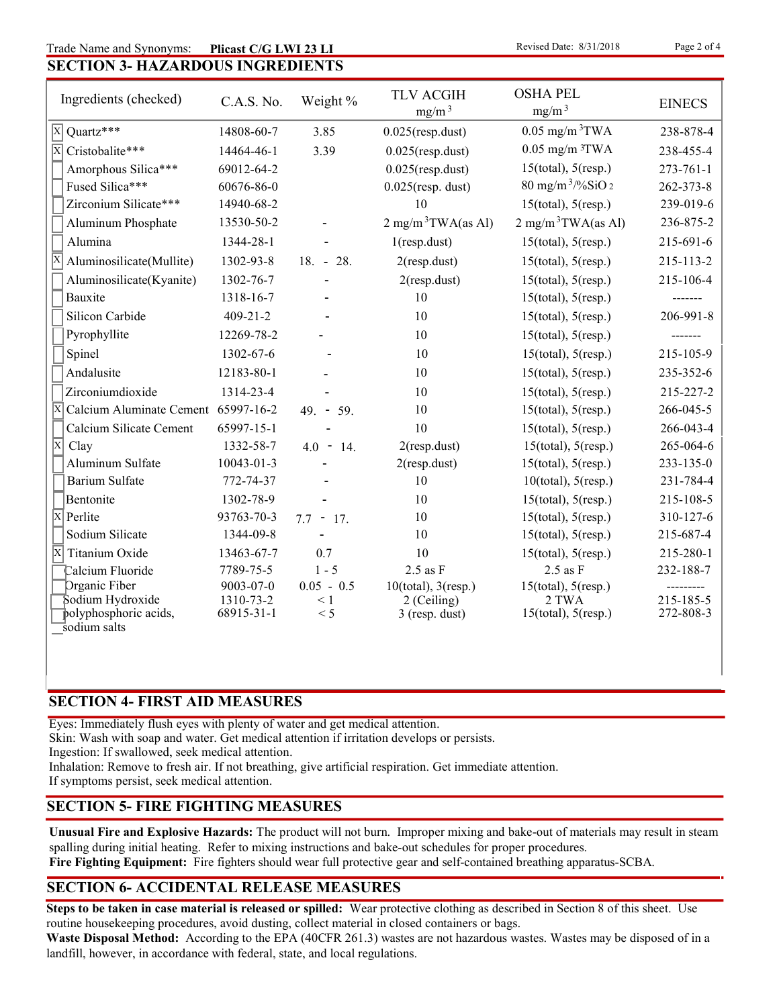### **SECTION 3- HAZARDOUS INGREDIENTS** Trade Name and Synonyms: Plicast C/G LWI 23 LI Revised Date: 8/31/2018 Page 2 of 4 **Plicast C/G LWI 23 LI**

| Ingredients (checked)                      | C.A.S. No.              | Weight %        | <b>TLV ACGIH</b><br>mg/m <sup>3</sup> | <b>OSHA PEL</b><br>mg/m <sup>3</sup> | <b>EINECS</b>          |
|--------------------------------------------|-------------------------|-----------------|---------------------------------------|--------------------------------------|------------------------|
| Quartz***<br>$\vert x \vert$               | 14808-60-7              | 3.85            | $0.025$ (resp.dust)                   | $0.05$ mg/m $3$ TWA                  | 238-878-4              |
| $\overline{\mathbf{X}}$<br>Cristobalite*** | 14464-46-1              | 3.39            | $0.025$ (resp.dust)                   | $0.05$ mg/m $3$ TWA                  | 238-455-4              |
| Amorphous Silica***                        | 69012-64-2              |                 | $0.025$ (resp.dust)                   | $15$ (total), $5$ (resp.)            | $273 - 761 - 1$        |
| Fused Silica***                            | 60676-86-0              |                 | $0.025$ (resp. dust)                  | $80$ mg/m <sup>3</sup> /%SiO 2       | 262-373-8              |
| Zirconium Silicate***                      | 14940-68-2              |                 | 10                                    | $15$ (total), $5$ (resp.)            | 239-019-6              |
| Aluminum Phosphate                         | 13530-50-2              |                 | $2 \text{ mg/m}^3$ TWA(as Al)         | $2 \text{ mg/m}^3$ TWA(as Al)        | 236-875-2              |
| Alumina                                    | 1344-28-1               |                 | $1$ (resp.dust)                       | $15$ (total), $5$ (resp.)            | 215-691-6              |
| Aluminosilicate(Mullite)                   | 1302-93-8               | $18. - 28.$     | 2(resp.dust)                          | $15$ (total), $5$ (resp.)            | 215-113-2              |
| Aluminosilicate(Kyanite)                   | 1302-76-7               |                 | $2$ (resp.dust)                       | $15$ (total), $5$ (resp.)            | 215-106-4              |
| Bauxite                                    | 1318-16-7               |                 | 10                                    | $15$ (total), $5$ (resp.)            | -------                |
| Silicon Carbide                            | $409 - 21 - 2$          |                 | 10                                    | $15$ (total), $5$ (resp.)            | 206-991-8              |
| Pyrophyllite                               | 12269-78-2              |                 | 10                                    | $15$ (total), $5$ (resp.)            |                        |
| Spinel                                     | 1302-67-6               |                 | 10                                    | $15$ (total), $5$ (resp.)            | 215-105-9              |
| Andalusite                                 | 12183-80-1              |                 | 10                                    | $15$ (total), $5$ (resp.)            | 235-352-6              |
| Zirconiumdioxide                           | 1314-23-4               |                 | 10                                    | $15$ (total), $5$ (resp.)            | 215-227-2              |
| Calcium Aluminate Cement 65997-16-2<br>ΙX  |                         | $49. - 59.$     | 10                                    | $15$ (total), $5$ (resp.)            | 266-045-5              |
| Calcium Silicate Cement                    | 65997-15-1              |                 | 10                                    | $15$ (total), $5$ (resp.)            | 266-043-4              |
| $\overline{\mathrm{x}}$<br>Clay            | 1332-58-7               | $4.0 - 14.$     | $2$ (resp.dust)                       | $15$ (total), $5$ (resp.)            | 265-064-6              |
| Aluminum Sulfate                           | 10043-01-3              |                 | $2$ (resp.dust)                       | $15$ (total), $5$ (resp.)            | 233-135-0              |
| <b>Barium Sulfate</b>                      | 772-74-37               |                 | 10                                    | $10$ (total), $5$ (resp.)            | 231-784-4              |
| Bentonite                                  | 1302-78-9               |                 | 10                                    | $15$ (total), $5$ (resp.)            | 215-108-5              |
| $\overline{\mathrm{x}}$<br>Perlite         | 93763-70-3              | $7.7 - 17.$     | 10                                    | $15$ (total), $5$ (resp.)            | 310-127-6              |
| Sodium Silicate                            | 1344-09-8               |                 | 10                                    | $15$ (total), $5$ (resp.)            | 215-687-4              |
| $\overline{\mathbf{x}}$<br>Titanium Oxide  | 13463-67-7              | 0.7             | 10                                    | $15$ (total), $5$ (resp.)            | 215-280-1              |
| Calcium Fluoride                           | 7789-75-5               | $1 - 5$         | $2.5$ as $F$                          | $2.5$ as $F$                         | 232-188-7              |
| Organic Fiber                              | 9003-07-0               | $0.05 - 0.5$    | $10$ (total), $3$ (resp.)             | $15$ (total), $5$ (resp.)            |                        |
| Sodium Hydroxide<br>polyphosphoric acids,  | 1310-73-2<br>68915-31-1 | $\leq 1$<br>< 5 | 2 (Ceiling)<br>$3$ (resp. dust)       | 2 TWA<br>$15$ (total), $5$ (resp.)   | 215-185-5<br>272-808-3 |
| sodium salts                               |                         |                 |                                       |                                      |                        |

# **SECTION 4- FIRST AID MEASURES**

Eyes: Immediately flush eyes with plenty of water and get medical attention.

Skin: Wash with soap and water. Get medical attention if irritation develops or persists.

Ingestion: If swallowed, seek medical attention.

Inhalation: Remove to fresh air. If not breathing, give artificial respiration. Get immediate attention.

If symptoms persist, seek medical attention.

# **SECTION 5- FIRE FIGHTING MEASURES**

**Unusual Fire and Explosive Hazards:** The product will not burn. Improper mixing and bake-out of materials may result in steam spalling during initial heating. Refer to mixing instructions and bake-out schedules for proper procedures. **Fire Fighting Equipment:** Fire fighters should wear full protective gear and self-contained breathing apparatus-SCBA.

# **SECTION 6- ACCIDENTAL RELEASE MEASURES**

**Steps to be taken in case material is released or spilled:** Wear protective clothing as described in Section 8 of this sheet. Use routine housekeeping procedures, avoid dusting, collect material in closed containers or bags.

**Waste Disposal Method:** According to the EPA (40CFR 261.3) wastes are not hazardous wastes. Wastes may be disposed of in a landfill, however, in accordance with federal, state, and local regulations.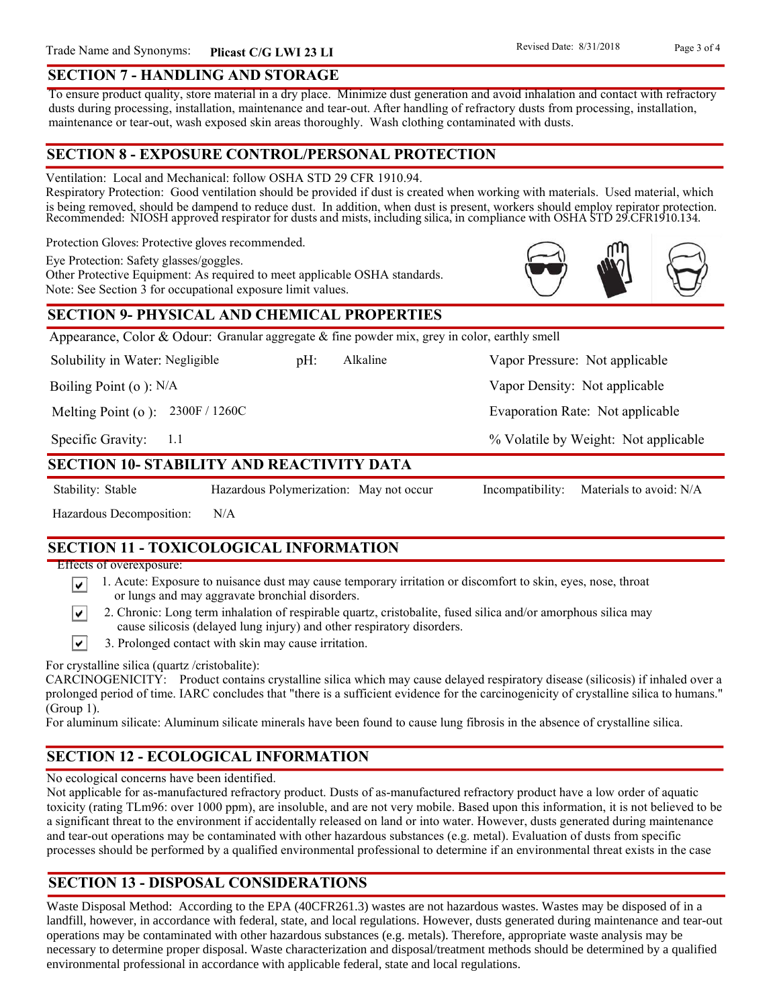### **SECTION 7 - HANDLING AND STORAGE**

To ensure product quality, store material in a dry place. Minimize dust generation and avoid inhalation and contact with refractory dusts during processing, installation, maintenance and tear-out. After handling of refractory dusts from processing, installation, maintenance or tear-out, wash exposed skin areas thoroughly. Wash clothing contaminated with dusts.

### **SECTION 8 - EXPOSURE CONTROL/PERSONAL PROTECTION**

Ventilation: Local and Mechanical: follow OSHA STD 29 CFR 1910.94.

Respiratory Protection: Good ventilation should be provided if dust is created when working with materials. Used material, which is being removed, should be dampend to reduce dust. In addition, when dust is present, workers should employ repirator protection. Recommended: NIOSH approved respirator for dusts and mists, including silica, in compliance with OSHA STD 29.CFR1910.134.

Protection Gloves: Protective gloves recommended.

Eye Protection: Safety glasses/goggles.

Other Protective Equipment: As required to meet applicable OSHA standards. Note: See Section 3 for occupational exposure limit values.

### **SECTION 9- PHYSICAL AND CHEMICAL PROPERTIES**

Appearance, Color & Odour: Granular aggregate  $\&$  fine powder mix, grey in color, earthly smell

Solubility in Water: Negligible

pH: Alkaline Vapor Pressure: Not applicable Alkaline

Boiling Point (o ): N/A

Melting Point (o ): 2300F / 1260C

1.1 Specific Gravity:

### **SECTION 10- STABILITY AND REACTIVITY DATA**

∣V∣

∣V∣

Stability: Stable Hazardous Polymerization: May not occur Incompatibility: Materials to avoid: N/A

% Volatile by Weight: Not applicable

Vapor Density: Not applicable

Evaporation Rate: Not applicable

Hazardous Decomposition: N/A

# **SECTION 11 - TOXICOLOGICAL INFORMATION**

Effects of overexposure:

- 1. Acute: Exposure to nuisance dust may cause temporary irritation or discomfort to skin, eyes, nose, throat or lungs and may aggravate bronchial disorders.
- 2. Chronic: Long term inhalation of respirable quartz, cristobalite, fused silica and/or amorphous silica may cause silicosis (delayed lung injury) and other respiratory disorders.
- $\vert\mathbf{v}\vert$ 3. Prolonged contact with skin may cause irritation.

For crystalline silica (quartz /cristobalite):

CARCINOGENICITY: Product contains crystalline silica which may cause delayed respiratory disease (silicosis) if inhaled over a prolonged period of time. IARC concludes that "there is a sufficient evidence for the carcinogenicity of crystalline silica to humans." (Group 1).

For aluminum silicate: Aluminum silicate minerals have been found to cause lung fibrosis in the absence of crystalline silica.

# **SECTION 12 - ECOLOGICAL INFORMATION**

No ecological concerns have been identified.

Not applicable for as-manufactured refractory product. Dusts of as-manufactured refractory product have a low order of aquatic toxicity (rating TLm96: over 1000 ppm), are insoluble, and are not very mobile. Based upon this information, it is not believed to be a significant threat to the environment if accidentally released on land or into water. However, dusts generated during maintenance and tear-out operations may be contaminated with other hazardous substances (e.g. metal). Evaluation of dusts from specific processes should be performed by a qualified environmental professional to determine if an environmental threat exists in the case

# **SECTION 13 - DISPOSAL CONSIDERATIONS**

Waste Disposal Method: According to the EPA (40CFR261.3) wastes are not hazardous wastes. Wastes may be disposed of in a landfill, however, in accordance with federal, state, and local regulations. However, dusts generated during maintenance and tear-out operations may be contaminated with other hazardous substances (e.g. metals). Therefore, appropriate waste analysis may be necessary to determine proper disposal. Waste characterization and disposal/treatment methods should be determined by a qualified environmental professional in accordance with applicable federal, state and local regulations.